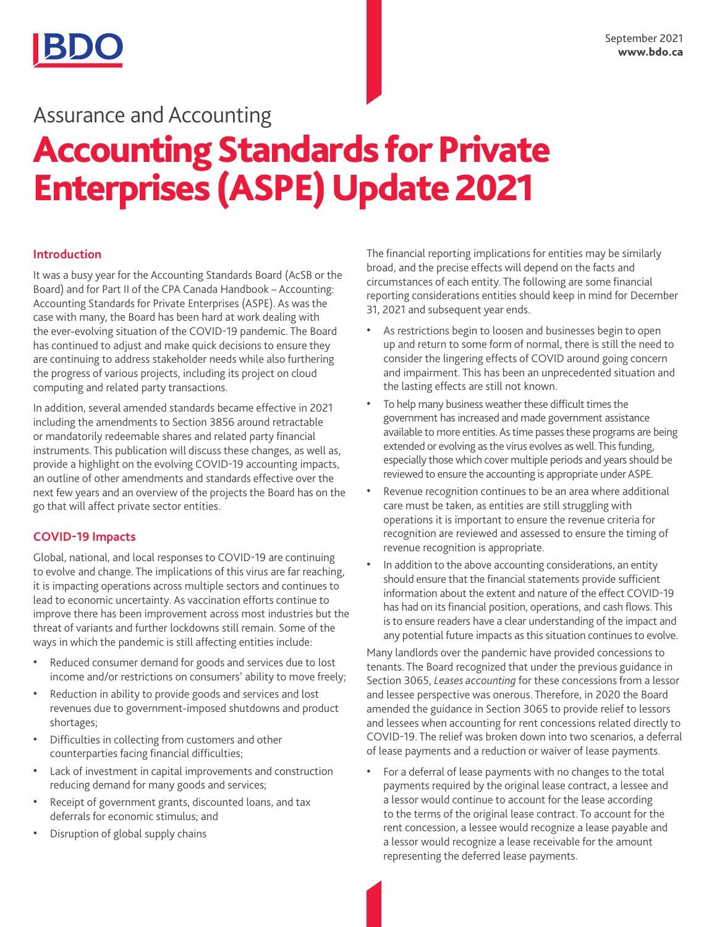# Accounting Standards for Private Enterprises (ASPE) Update 2021 Assurance and Accounting

# **Introduction**

It was a busy year for the Accounting Standards Board (AcSB or the Board) and for Part II of the CPA Canada Handbook – Accounting: Accounting Standards for Private Enterprises (ASPE). As was the case with many, the Board has been hard at work dealing with the ever-evolving situation of the COVID-19 pandemic. The Board has continued to adjust and make quick decisions to ensure they are continuing to address stakeholder needs while also furthering the progress of various projects, including its project on cloud computing and related party transactions.

In addition, several amended standards became effective in 2021 including the amendments to Section 3856 around retractable or mandatorily redeemable shares and related party financial instruments. This publication will discuss these changes, as well as, provide a highlight on the evolving COVID-19 accounting impacts, an outline of other amendments and standards effective over the next few years and an overview of the projects the Board has on the go that will affect private sector entities.

# **COVID-19 Impacts**

Global, national, and local responses to COVID-19 are continuing to evolve and change. The implications of this virus are far reaching, it is impacting operations across multiple sectors and continues to lead to economic uncertainty. As vaccination efforts continue to improve there has been improvement across most industries but the threat of variants and further lockdowns still remain. Some of the ways in which the pandemic is still affecting entities include:

- Reduced consumer demand for goods and services due to lost income and/or restrictions on consumers' ability to move freely;
- Reduction in ability to provide goods and services and lost revenues due to government-imposed shutdowns and product shortages;
- Difficulties in collecting from customers and other counterparties facing financial difficulties;
- Lack of investment in capital improvements and construction reducing demand for many goods and services;
- Receipt of government grants, discounted loans, and tax deferrals for economic stimulus; and
- Disruption of global supply chains

The financial reporting implications for entities may be similarly broad, and the precise effects will depend on the facts and circumstances of each entity. The following are some financial reporting considerations entities should keep in mind for December 31, 2021 and subsequent year ends.

- As restrictions begin to loosen and businesses begin to open up and return to some form of normal, there is still the need to consider the lingering effects of COVID around going concern and impairment. This has been an unprecedented situation and the lasting effects are still not known.
- To help many business weather these difficult times the government has increased and made government assistance available to more entities. As time passes these programs are being extended or evolving as the virus evolves as well. This funding, especially those which cover multiple periods and years should be reviewed to ensure the accounting is appropriate under ASPE.
- Revenue recognition continues to be an area where additional care must be taken, as entities are still struggling with operations it is important to ensure the revenue criteria for recognition are reviewed and assessed to ensure the timing of revenue recognition is appropriate.
- In addition to the above accounting considerations, an entity should ensure that the financial statements provide sufficient information about the extent and nature of the effect COVID-19 has had on its financial position, operations, and cash flows. This is to ensure readers have a clear understanding of the impact and any potential future impacts as this situation continues to evolve.

Many landlords over the pandemic have provided concessions to tenants. The Board recognized that under the previous guidance in Section 3065, *Leases accounting* for these concessions from a lessor and lessee perspective was onerous. Therefore, in 2020 the Board amended the guidance in Section 3065 to provide relief to lessors and lessees when accounting for rent concessions related directly to COVID-19. The relief was broken down into two scenarios, a deferral of lease payments and a reduction or waiver of lease payments.

• For a deferral of lease payments with no changes to the total payments required by the original lease contract, a lessee and a lessor would continue to account for the lease according to the terms of the original lease contract. To account for the rent concession, a lessee would recognize a lease payable and a lessor would recognize a lease receivable for the amount representing the deferred lease payments.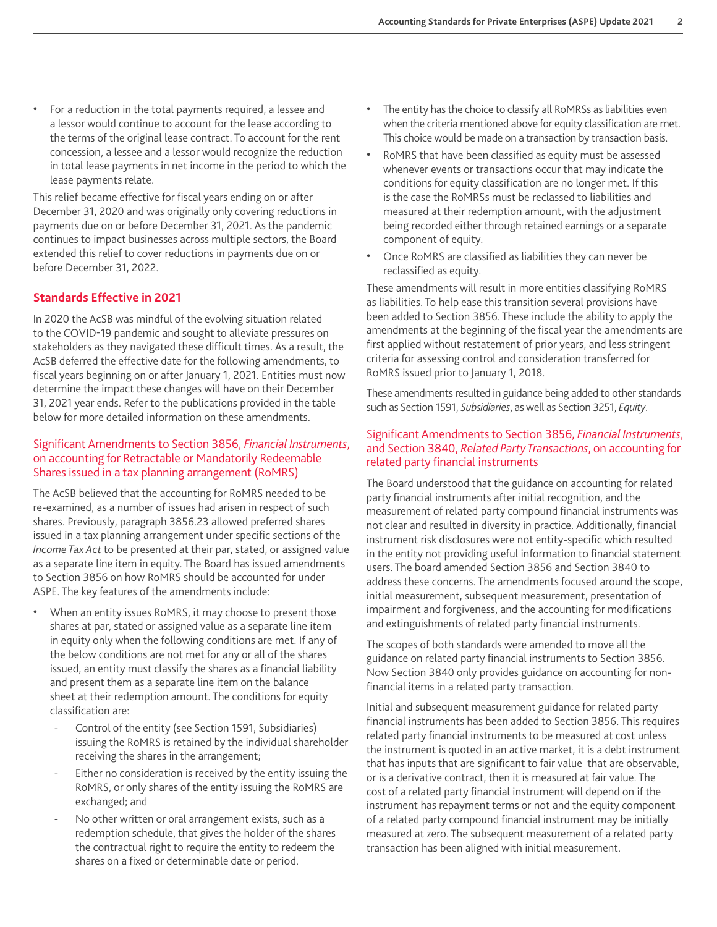• For a reduction in the total payments required, a lessee and a lessor would continue to account for the lease according to the terms of the original lease contract. To account for the rent concession, a lessee and a lessor would recognize the reduction in total lease payments in net income in the period to which the lease payments relate.

This relief became effective for fiscal years ending on or after December 31, 2020 and was originally only covering reductions in payments due on or before December 31, 2021. As the pandemic continues to impact businesses across multiple sectors, the Board extended this relief to cover reductions in payments due on or before December 31, 2022.

### **Standards Effective in 2021**

In 2020 the AcSB was mindful of the evolving situation related to the COVID-19 pandemic and sought to alleviate pressures on stakeholders as they navigated these difficult times. As a result, the AcSB deferred the effective date for the following amendments, to fiscal years beginning on or after January 1, 2021. Entities must now determine the impact these changes will have on their December 31, 2021 year ends. Refer to the publications provided in the table below for more detailed information on these amendments.

#### Significant Amendments to Section 3856, *Financial Instruments*, on accounting for Retractable or Mandatorily Redeemable Shares issued in a tax planning arrangement (RoMRS)

The AcSB believed that the accounting for RoMRS needed to be re-examined, as a number of issues had arisen in respect of such shares. Previously, paragraph 3856.23 allowed preferred shares issued in a tax planning arrangement under specific sections of the *Income Tax Act* to be presented at their par, stated, or assigned value as a separate line item in equity. The Board has issued amendments to Section 3856 on how RoMRS should be accounted for under ASPE. The key features of the amendments include:

- When an entity issues RoMRS, it may choose to present those shares at par, stated or assigned value as a separate line item in equity only when the following conditions are met. If any of the below conditions are not met for any or all of the shares issued, an entity must classify the shares as a financial liability and present them as a separate line item on the balance sheet at their redemption amount. The conditions for equity classification are:
	- Control of the entity (see Section 1591, Subsidiaries) issuing the RoMRS is retained by the individual shareholder receiving the shares in the arrangement;
	- Either no consideration is received by the entity issuing the RoMRS, or only shares of the entity issuing the RoMRS are exchanged; and
	- No other written or oral arrangement exists, such as a redemption schedule, that gives the holder of the shares the contractual right to require the entity to redeem the shares on a fixed or determinable date or period.
- The entity has the choice to classify all RoMRSs as liabilities even when the criteria mentioned above for equity classification are met. This choice would be made on a transaction by transaction basis.
- RoMRS that have been classified as equity must be assessed whenever events or transactions occur that may indicate the conditions for equity classification are no longer met. If this is the case the RoMRSs must be reclassed to liabilities and measured at their redemption amount, with the adjustment being recorded either through retained earnings or a separate component of equity.
- Once RoMRS are classified as liabilities they can never be reclassified as equity.

These amendments will result in more entities classifying RoMRS as liabilities. To help ease this transition several provisions have been added to Section 3856. These include the ability to apply the amendments at the beginning of the fiscal year the amendments are first applied without restatement of prior years, and less stringent criteria for assessing control and consideration transferred for RoMRS issued prior to January 1, 2018.

These amendments resulted in guidance being added to other standards such as Section 1591, *Subsidiaries*, as well as Section 3251, *Equity*.

#### Significant Amendments to Section 3856, *Financial Instruments*, and Section 3840, *Related Party Transactions*, on accounting for related party financial instruments

The Board understood that the guidance on accounting for related party financial instruments after initial recognition, and the measurement of related party compound financial instruments was not clear and resulted in diversity in practice. Additionally, financial instrument risk disclosures were not entity-specific which resulted in the entity not providing useful information to financial statement users. The board amended Section 3856 and Section 3840 to address these concerns. The amendments focused around the scope, initial measurement, subsequent measurement, presentation of impairment and forgiveness, and the accounting for modifications and extinguishments of related party financial instruments.

The scopes of both standards were amended to move all the guidance on related party financial instruments to Section 3856. Now Section 3840 only provides guidance on accounting for nonfinancial items in a related party transaction.

Initial and subsequent measurement guidance for related party financial instruments has been added to Section 3856. This requires related party financial instruments to be measured at cost unless the instrument is quoted in an active market, it is a debt instrument that has inputs that are significant to fair value that are observable, or is a derivative contract, then it is measured at fair value. The cost of a related party financial instrument will depend on if the instrument has repayment terms or not and the equity component of a related party compound financial instrument may be initially measured at zero. The subsequent measurement of a related party transaction has been aligned with initial measurement.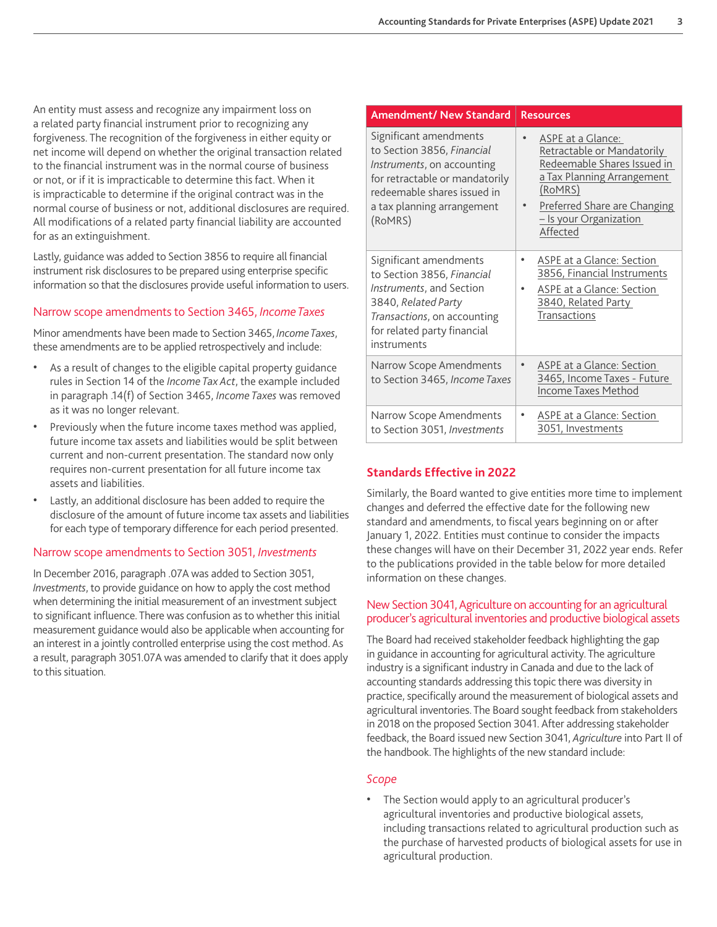An entity must assess and recognize any impairment loss on a related party financial instrument prior to recognizing any forgiveness. The recognition of the forgiveness in either equity or net income will depend on whether the original transaction related to the financial instrument was in the normal course of business or not, or if it is impracticable to determine this fact. When it is impracticable to determine if the original contract was in the normal course of business or not, additional disclosures are required. All modifications of a related party financial liability are accounted for as an extinguishment.

Lastly, guidance was added to Section 3856 to require all financial instrument risk disclosures to be prepared using enterprise specific information so that the disclosures provide useful information to users.

### Narrow scope amendments to Section 3465, *Income Taxes*

Minor amendments have been made to Section 3465, *Income Taxes*, these amendments are to be applied retrospectively and include:

- As a result of changes to the eligible capital property guidance rules in Section 14 of the *Income Tax Act*, the example included in paragraph .14(f) of Section 3465, *Income Taxes* was removed as it was no longer relevant.
- Previously when the future income taxes method was applied, future income tax assets and liabilities would be split between current and non-current presentation. The standard now only requires non-current presentation for all future income tax assets and liabilities.
- Lastly, an additional disclosure has been added to require the disclosure of the amount of future income tax assets and liabilities for each type of temporary difference for each period presented.

#### Narrow scope amendments to Section 3051, *Investments*

In December 2016, paragraph .07A was added to Section 3051, *Investments*, to provide guidance on how to apply the cost method when determining the initial measurement of an investment subject to significant influence. There was confusion as to whether this initial measurement guidance would also be applicable when accounting for an interest in a jointly controlled enterprise using the cost method. As a result, paragraph 3051.07A was amended to clarify that it does apply to this situation.

| <b>Amendment/ New Standard</b>                                                                                                                                                               | <b>Resources</b>                                                                                                                                                                              |
|----------------------------------------------------------------------------------------------------------------------------------------------------------------------------------------------|-----------------------------------------------------------------------------------------------------------------------------------------------------------------------------------------------|
| Significant amendments<br>to Section 3856, Financial<br>Instruments, on accounting<br>for retractable or mandatorily<br>redeemable shares issued in<br>a tax planning arrangement<br>(RoMRS) | ASPE at a Glance:<br>Retractable or Mandatorily<br>Redeemable Shares Issued in<br>a Tax Planning Arrangement<br>(RoMRS)<br>Preferred Share are Changing<br>- Is your Organization<br>Affected |
| Significant amendments<br>to Section 3856, Financial<br><i>Instruments</i> , and Section<br>3840, Related Party<br>Transactions, on accounting<br>for related party financial<br>instruments | ASPE at a Glance: Section<br>3856, Financial Instruments<br>ASPE at a Glance: Section<br>3840, Related Party<br><b>Transactions</b>                                                           |
| Narrow Scope Amendments<br>to Section 3465, Income Taxes                                                                                                                                     | ASPE at a Glance: Section<br>3465, Income Taxes - Future<br>Income Taxes Method                                                                                                               |
| Narrow Scope Amendments<br>to Section 3051, Investments                                                                                                                                      | ASPE at a Glance: Section<br>٠<br>3051, Investments                                                                                                                                           |

# **Standards Effective in 2022**

Similarly, the Board wanted to give entities more time to implement changes and deferred the effective date for the following new standard and amendments, to fiscal years beginning on or after January 1, 2022. Entities must continue to consider the impacts these changes will have on their December 31, 2022 year ends. Refer to the publications provided in the table below for more detailed information on these changes.

### New Section 3041, Agriculture on accounting for an agricultural producer's agricultural inventories and productive biological assets

The Board had received stakeholder feedback highlighting the gap in guidance in accounting for agricultural activity. The agriculture industry is a significant industry in Canada and due to the lack of accounting standards addressing this topic there was diversity in practice, specifically around the measurement of biological assets and agricultural inventories. The Board sought feedback from stakeholders in 2018 on the proposed Section 3041. After addressing stakeholder feedback, the Board issued new Section 3041, *Agriculture* into Part II of the handbook. The highlights of the new standard include:

#### *Scope*

• The Section would apply to an agricultural producer's agricultural inventories and productive biological assets, including transactions related to agricultural production such as the purchase of harvested products of biological assets for use in agricultural production.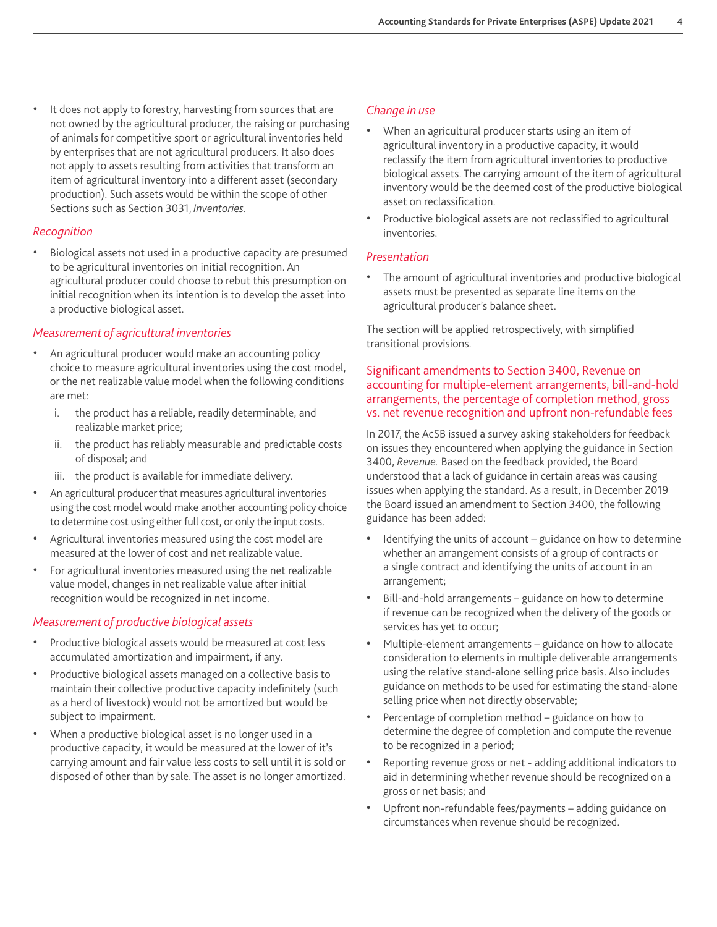It does not apply to forestry, harvesting from sources that are not owned by the agricultural producer, the raising or purchasing of animals for competitive sport or agricultural inventories held by enterprises that are not agricultural producers. It also does not apply to assets resulting from activities that transform an item of agricultural inventory into a different asset (secondary production). Such assets would be within the scope of other Sections such as Section 3031, *Inventories*.

### *Recognition*

• Biological assets not used in a productive capacity are presumed to be agricultural inventories on initial recognition. An agricultural producer could choose to rebut this presumption on initial recognition when its intention is to develop the asset into a productive biological asset.

# *Measurement of agricultural inventories*

- An agricultural producer would make an accounting policy choice to measure agricultural inventories using the cost model, or the net realizable value model when the following conditions are met:
	- i. the product has a reliable, readily determinable, and realizable market price;
	- ii. the product has reliably measurable and predictable costs of disposal; and
	- iii. the product is available for immediate delivery.
- An agricultural producer that measures agricultural inventories using the cost model would make another accounting policy choice to determine cost using either full cost, or only the input costs.
- Agricultural inventories measured using the cost model are measured at the lower of cost and net realizable value.
- For agricultural inventories measured using the net realizable value model, changes in net realizable value after initial recognition would be recognized in net income.

# *Measurement of productive biological assets*

- Productive biological assets would be measured at cost less accumulated amortization and impairment, if any.
- Productive biological assets managed on a collective basis to maintain their collective productive capacity indefinitely (such as a herd of livestock) would not be amortized but would be subject to impairment.
- When a productive biological asset is no longer used in a productive capacity, it would be measured at the lower of it's carrying amount and fair value less costs to sell until it is sold or disposed of other than by sale. The asset is no longer amortized.

# *Change in use*

- When an agricultural producer starts using an item of agricultural inventory in a productive capacity, it would reclassify the item from agricultural inventories to productive biological assets. The carrying amount of the item of agricultural inventory would be the deemed cost of the productive biological asset on reclassification.
- Productive biological assets are not reclassified to agricultural inventories.

### *Presentation*

• The amount of agricultural inventories and productive biological assets must be presented as separate line items on the agricultural producer's balance sheet.

The section will be applied retrospectively, with simplified transitional provisions.

# Significant amendments to Section 3400, Revenue on accounting for multiple-element arrangements, bill-and-hold arrangements, the percentage of completion method, gross vs. net revenue recognition and upfront non-refundable fees

In 2017, the AcSB issued a survey asking stakeholders for feedback on issues they encountered when applying the guidance in Section 3400, *Revenue.* Based on the feedback provided, the Board understood that a lack of guidance in certain areas was causing issues when applying the standard. As a result, in December 2019 the Board issued an amendment to Section 3400, the following guidance has been added:

- Identifying the units of account guidance on how to determine whether an arrangement consists of a group of contracts or a single contract and identifying the units of account in an arrangement;
- Bill-and-hold arrangements guidance on how to determine if revenue can be recognized when the delivery of the goods or services has yet to occur;
- Multiple-element arrangements guidance on how to allocate consideration to elements in multiple deliverable arrangements using the relative stand-alone selling price basis. Also includes guidance on methods to be used for estimating the stand-alone selling price when not directly observable;
- Percentage of completion method guidance on how to determine the degree of completion and compute the revenue to be recognized in a period;
- Reporting revenue gross or net adding additional indicators to aid in determining whether revenue should be recognized on a gross or net basis; and
- Upfront non-refundable fees/payments adding guidance on circumstances when revenue should be recognized.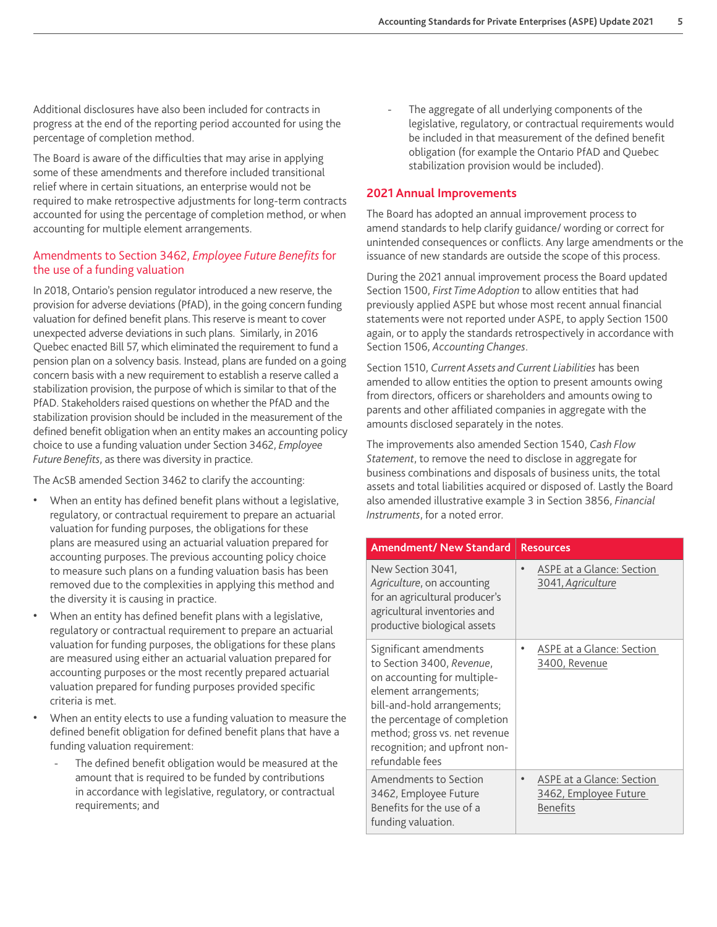Additional disclosures have also been included for contracts in progress at the end of the reporting period accounted for using the percentage of completion method.

The Board is aware of the difficulties that may arise in applying some of these amendments and therefore included transitional relief where in certain situations, an enterprise would not be required to make retrospective adjustments for long-term contracts accounted for using the percentage of completion method, or when accounting for multiple element arrangements.

# Amendments to Section 3462, *Employee Future Benefits* for the use of a funding valuation

In 2018, Ontario's pension regulator introduced a new reserve, the provision for adverse deviations (PfAD), in the going concern funding valuation for defined benefit plans. This reserve is meant to cover unexpected adverse deviations in such plans. Similarly, in 2016 Quebec enacted Bill 57, which eliminated the requirement to fund a pension plan on a solvency basis. Instead, plans are funded on a going concern basis with a new requirement to establish a reserve called a stabilization provision, the purpose of which is similar to that of the PfAD. Stakeholders raised questions on whether the PfAD and the stabilization provision should be included in the measurement of the defined benefit obligation when an entity makes an accounting policy choice to use a funding valuation under Section 3462, *Employee Future Benefits*, as there was diversity in practice.

The AcSB amended Section 3462 to clarify the accounting:

- When an entity has defined benefit plans without a legislative, regulatory, or contractual requirement to prepare an actuarial valuation for funding purposes, the obligations for these plans are measured using an actuarial valuation prepared for accounting purposes. The previous accounting policy choice to measure such plans on a funding valuation basis has been removed due to the complexities in applying this method and the diversity it is causing in practice.
- When an entity has defined benefit plans with a legislative, regulatory or contractual requirement to prepare an actuarial valuation for funding purposes, the obligations for these plans are measured using either an actuarial valuation prepared for accounting purposes or the most recently prepared actuarial valuation prepared for funding purposes provided specific criteria is met.
- When an entity elects to use a funding valuation to measure the defined benefit obligation for defined benefit plans that have a funding valuation requirement:
	- The defined benefit obligation would be measured at the amount that is required to be funded by contributions in accordance with legislative, regulatory, or contractual requirements; and

The aggregate of all underlying components of the legislative, regulatory, or contractual requirements would be included in that measurement of the defined benefit obligation (for example the Ontario PfAD and Quebec stabilization provision would be included).

# **2021 Annual Improvements**

The Board has adopted an annual improvement process to amend standards to help clarify guidance/ wording or correct for unintended consequences or conflicts. Any large amendments or the issuance of new standards are outside the scope of this process.

During the 2021 annual improvement process the Board updated Section 1500, *First Time Adoption* to allow entities that had previously applied ASPE but whose most recent annual financial statements were not reported under ASPE, to apply Section 1500 again, or to apply the standards retrospectively in accordance with Section 1506, *Accounting Changes*.

Section 1510, *Current Assets and Current Liabilities* has been amended to allow entities the option to present amounts owing from directors, officers or shareholders and amounts owing to parents and other affiliated companies in aggregate with the amounts disclosed separately in the notes.

The improvements also amended Section 1540, *Cash Flow Statement*, to remove the need to disclose in aggregate for business combinations and disposals of business units, the total assets and total liabilities acquired or disposed of. Lastly the Board also amended illustrative example 3 in Section 3856, *Financial Instruments*, for a noted error.

| <b>Amendment/ New Standard</b>                                                                                                                                                                                                                                  | <b>Resources</b>                                                      |
|-----------------------------------------------------------------------------------------------------------------------------------------------------------------------------------------------------------------------------------------------------------------|-----------------------------------------------------------------------|
| New Section 3041,<br>Agriculture, on accounting<br>for an agricultural producer's<br>agricultural inventories and<br>productive biological assets                                                                                                               | ASPE at a Glance: Section<br>3041, Agriculture                        |
| Significant amendments<br>to Section 3400, Revenue,<br>on accounting for multiple-<br>element arrangements;<br>bill-and-hold arrangements;<br>the percentage of completion<br>method; gross vs. net revenue<br>recognition; and upfront non-<br>refundable fees | ASPE at a Glance: Section<br>3400, Revenue                            |
| Amendments to Section<br>3462, Employee Future<br>Benefits for the use of a<br>funding valuation.                                                                                                                                                               | ASPE at a Glance: Section<br>3462, Employee Future<br><b>Benefits</b> |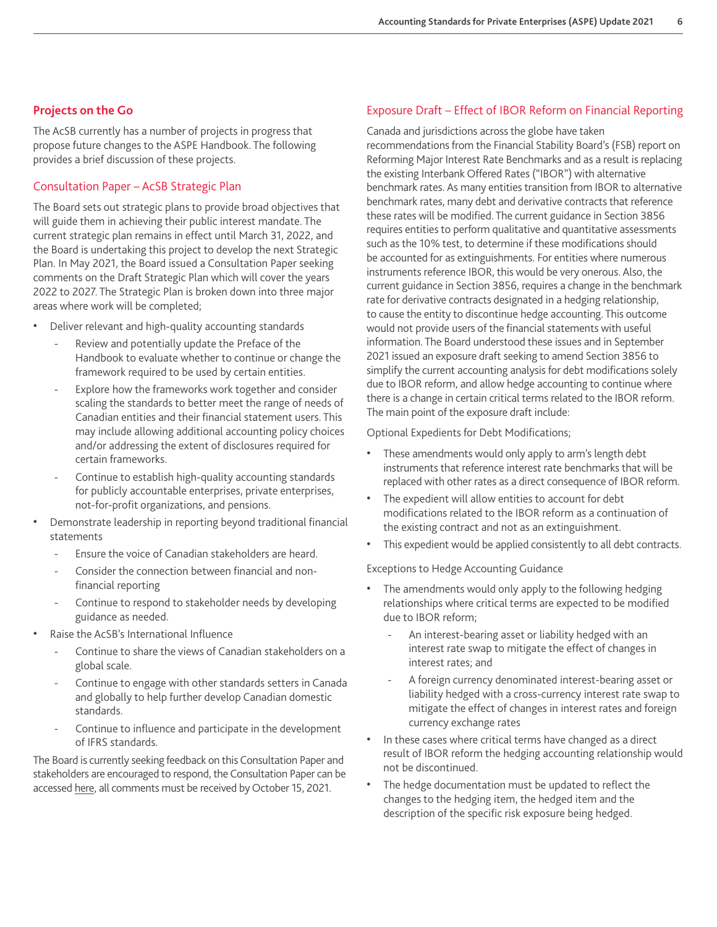### **Projects on the Go**

The AcSB currently has a number of projects in progress that propose future changes to the ASPE Handbook. The following provides a brief discussion of these projects.

# Consultation Paper – AcSB Strategic Plan

The Board sets out strategic plans to provide broad objectives that will guide them in achieving their public interest mandate. The current strategic plan remains in effect until March 31, 2022, and the Board is undertaking this project to develop the next Strategic Plan. In May 2021, the Board issued a Consultation Paper seeking comments on the Draft Strategic Plan which will cover the years 2022 to 2027. The Strategic Plan is broken down into three major areas where work will be completed;

- Deliver relevant and high-quality accounting standards
	- Review and potentially update the Preface of the Handbook to evaluate whether to continue or change the framework required to be used by certain entities.
	- Explore how the frameworks work together and consider scaling the standards to better meet the range of needs of Canadian entities and their financial statement users. This may include allowing additional accounting policy choices and/or addressing the extent of disclosures required for certain frameworks.
	- Continue to establish high-quality accounting standards for publicly accountable enterprises, private enterprises, not-for-profit organizations, and pensions.
- Demonstrate leadership in reporting beyond traditional financial statements
	- Ensure the voice of Canadian stakeholders are heard.
	- Consider the connection between financial and nonfinancial reporting
	- Continue to respond to stakeholder needs by developing guidance as needed.
- Raise the AcSB's International Influence
	- Continue to share the views of Canadian stakeholders on a global scale.
	- Continue to engage with other standards setters in Canada and globally to help further develop Canadian domestic standards.
	- Continue to influence and participate in the development of IFRS standards.

The Board is currently seeking feedback on this Consultation Paper and stakeholders are encouraged to respond, the Consultation Paper can be accessed [here](https://www.frascanada.ca/en/acsb/about/strategic-plan/doc-for-comment-strategic-plan-2022-2027), all comments must be received by October 15, 2021.

# Exposure Draft – Effect of IBOR Reform on Financial Reporting

Canada and jurisdictions across the globe have taken recommendations from the Financial Stability Board's (FSB) report on Reforming Major Interest Rate Benchmarks and as a result is replacing the existing Interbank Offered Rates ("IBOR") with alternative benchmark rates. As many entities transition from IBOR to alternative benchmark rates, many debt and derivative contracts that reference these rates will be modified. The current guidance in Section 3856 requires entities to perform qualitative and quantitative assessments such as the 10% test, to determine if these modifications should be accounted for as extinguishments. For entities where numerous instruments reference IBOR, this would be very onerous. Also, the current guidance in Section 3856, requires a change in the benchmark rate for derivative contracts designated in a hedging relationship, to cause the entity to discontinue hedge accounting. This outcome would not provide users of the financial statements with useful information. The Board understood these issues and in September 2021 issued an exposure draft seeking to amend Section 3856 to simplify the current accounting analysis for debt modifications solely due to IBOR reform, and allow hedge accounting to continue where there is a change in certain critical terms related to the IBOR reform. The main point of the exposure draft include:

Optional Expedients for Debt Modifications;

- These amendments would only apply to arm's length debt instruments that reference interest rate benchmarks that will be replaced with other rates as a direct consequence of IBOR reform.
- The expedient will allow entities to account for debt modifications related to the IBOR reform as a continuation of the existing contract and not as an extinguishment.
- This expedient would be applied consistently to all debt contracts.

Exceptions to Hedge Accounting Guidance

- The amendments would only apply to the following hedging relationships where critical terms are expected to be modified due to IBOR reform;
	- An interest-bearing asset or liability hedged with an interest rate swap to mitigate the effect of changes in interest rates; and
	- A foreign currency denominated interest-bearing asset or liability hedged with a cross-currency interest rate swap to mitigate the effect of changes in interest rates and foreign currency exchange rates
- In these cases where critical terms have changed as a direct result of IBOR reform the hedging accounting relationship would not be discontinued.
- The hedge documentation must be updated to reflect the changes to the hedging item, the hedged item and the description of the specific risk exposure being hedged.